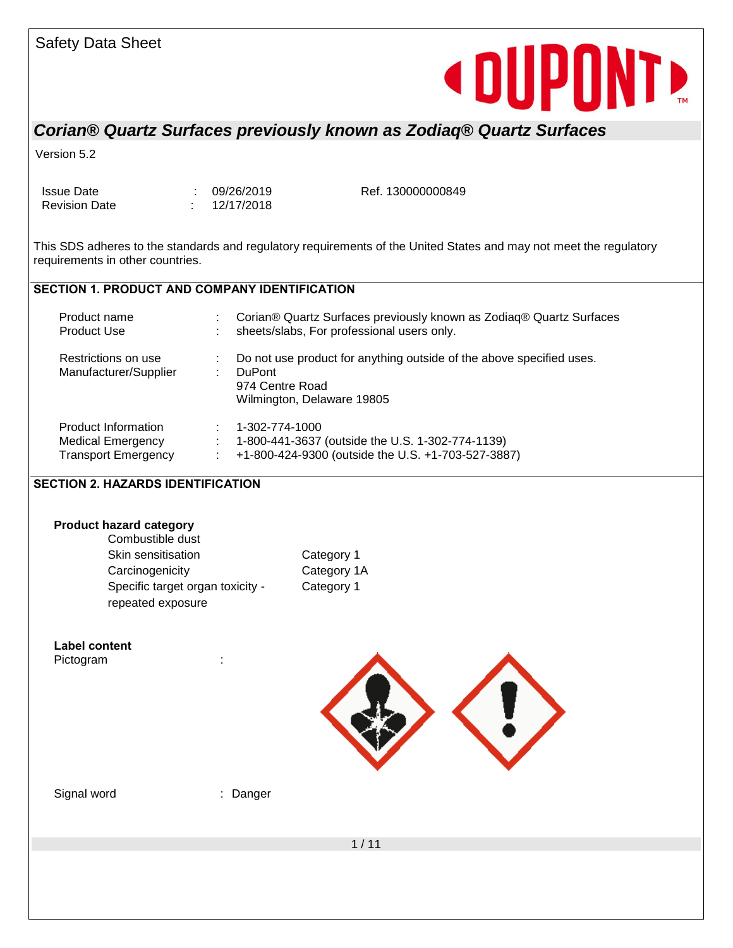## **« DUPONT**

### *Corian® Quartz Surfaces previously known as Zodiaq® Quartz Surfaces*

Version 5.2

Issue Date : 09/26/2019 Revision Date : 12/17/2018

Ref. 130000000849

This SDS adheres to the standards and regulatory requirements of the United States and may not meet the regulatory requirements in other countries.

### **SECTION 1. PRODUCT AND COMPANY IDENTIFICATION**

| Product name                                 | Corian® Quartz Surfaces previously known as Zodiaq® Quartz Surfaces                                                                    |
|----------------------------------------------|----------------------------------------------------------------------------------------------------------------------------------------|
| <b>Product Use</b>                           | sheets/slabs, For professional users only.                                                                                             |
| Restrictions on use<br>Manufacturer/Supplier | Do not use product for anything outside of the above specified uses.<br><b>DuPont</b><br>974 Centre Road<br>Wilmington, Delaware 19805 |
| <b>Product Information</b>                   | 1-302-774-1000                                                                                                                         |
| <b>Medical Emergency</b>                     | 1-800-441-3637 (outside the U.S. 1-302-774-1139)                                                                                       |
| <b>Transport Emergency</b>                   | +1-800-424-9300 (outside the U.S. +1-703-527-3887)                                                                                     |

### **SECTION 2. HAZARDS IDENTIFICATION**

## $1/11$ **Product hazard category** Combustible dust Skin sensitisation Category 1 Carcinogenicity Category 1A Specific target organ toxicity repeated exposure Category 1 **Label content** Pictogram : Signal word : Danger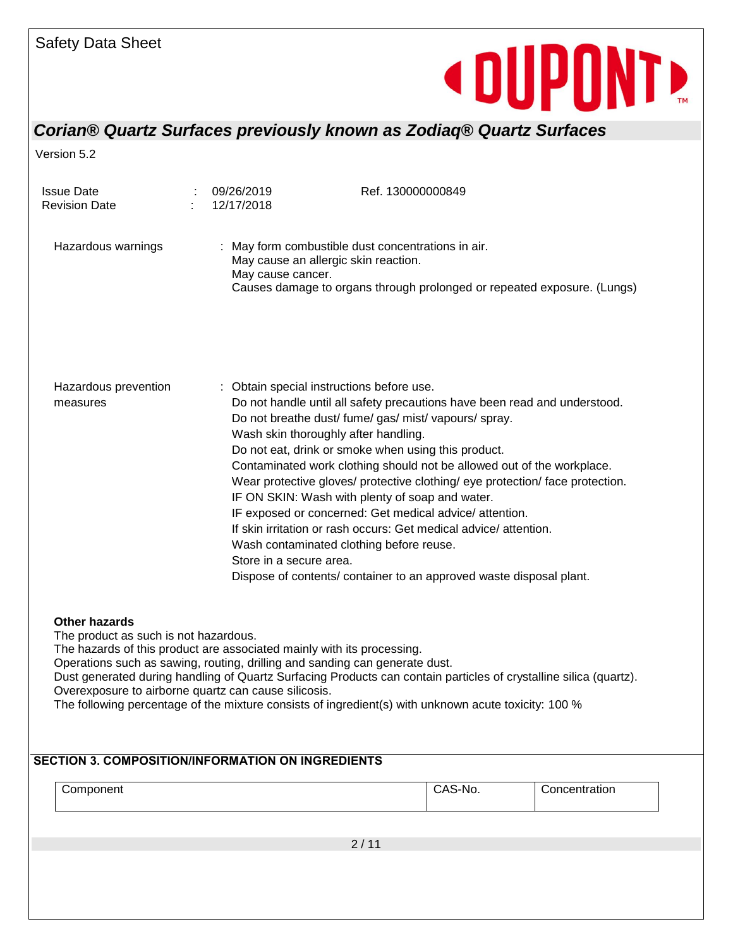## **« DUPONTE**

### *Corian® Quartz Surfaces previously known as Zodiaq® Quartz Surfaces*

Version 5.2

| <b>Issue Date</b><br><b>Revision Date</b>                     | 09/26/2019<br>12/17/2018                                                                                                                                                                                                                                                                                                                                                                                                                                                                                                                                                                                                                                                                                                                                                 | Ref. 130000000849                                                                                                                                                                          |  |
|---------------------------------------------------------------|--------------------------------------------------------------------------------------------------------------------------------------------------------------------------------------------------------------------------------------------------------------------------------------------------------------------------------------------------------------------------------------------------------------------------------------------------------------------------------------------------------------------------------------------------------------------------------------------------------------------------------------------------------------------------------------------------------------------------------------------------------------------------|--------------------------------------------------------------------------------------------------------------------------------------------------------------------------------------------|--|
| Hazardous warnings                                            |                                                                                                                                                                                                                                                                                                                                                                                                                                                                                                                                                                                                                                                                                                                                                                          | : May form combustible dust concentrations in air.<br>May cause an allergic skin reaction.<br>May cause cancer.<br>Causes damage to organs through prolonged or repeated exposure. (Lungs) |  |
| Hazardous prevention<br>measures                              | : Obtain special instructions before use.<br>Do not handle until all safety precautions have been read and understood.<br>Do not breathe dust/ fume/ gas/ mist/ vapours/ spray.<br>Wash skin thoroughly after handling.<br>Do not eat, drink or smoke when using this product.<br>Contaminated work clothing should not be allowed out of the workplace.<br>Wear protective gloves/ protective clothing/ eye protection/ face protection.<br>IF ON SKIN: Wash with plenty of soap and water.<br>IF exposed or concerned: Get medical advice/attention.<br>If skin irritation or rash occurs: Get medical advice/attention.<br>Wash contaminated clothing before reuse.<br>Store in a secure area.<br>Dispose of contents/ container to an approved waste disposal plant. |                                                                                                                                                                                            |  |
| <b>Other hazards</b><br>The product as such is not hazardous. |                                                                                                                                                                                                                                                                                                                                                                                                                                                                                                                                                                                                                                                                                                                                                                          |                                                                                                                                                                                            |  |

The hazards of this product are associated mainly with its processing.

Operations such as sawing, routing, drilling and sanding can generate dust.

Dust generated during handling of Quartz Surfacing Products can contain particles of crystalline silica (quartz). Overexposure to airborne quartz can cause silicosis.

The following percentage of the mixture consists of ingredient(s) with unknown acute toxicity: 100 %

| Component |      | CAS-No. | Concentration |
|-----------|------|---------|---------------|
|           |      |         |               |
|           | 2/11 |         |               |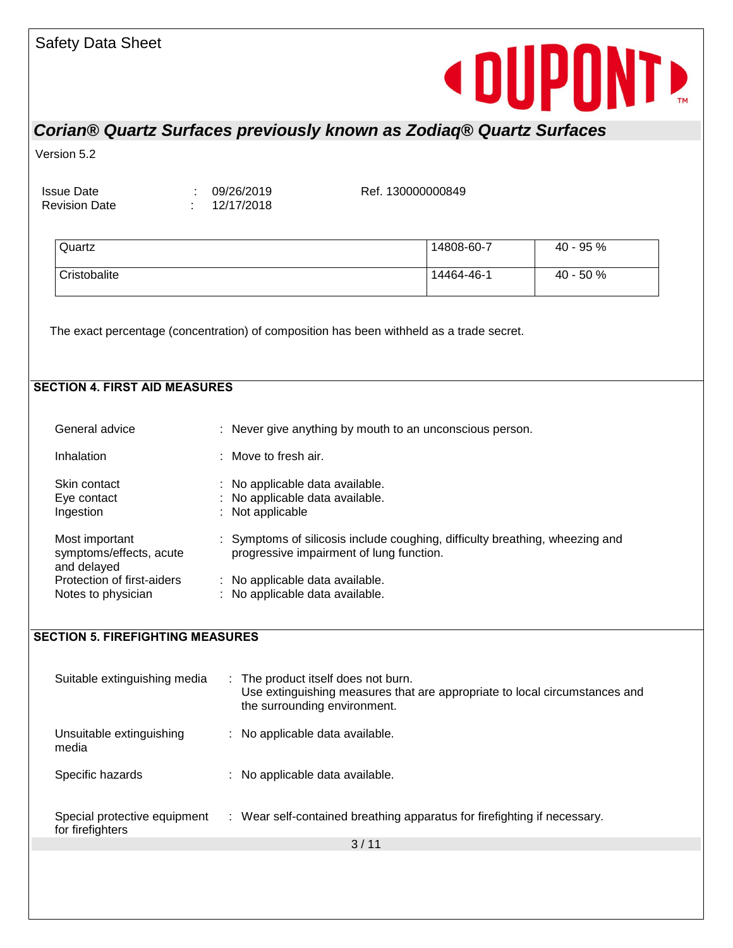

Version 5.2

Issue Date : 09/26/2019 Revision Date : 12/17/2018

Ref. 130000000849

| Quartz       | 14808-60-7 | 40 - 95 % |
|--------------|------------|-----------|
| Cristobalite | 14464-46-1 | 40 - 50 % |

The exact percentage (concentration) of composition has been withheld as a trade secret.

#### **SECTION 4. FIRST AID MEASURES**

| General advice                                           | : Never give anything by mouth to an unconscious person.                                                                 |
|----------------------------------------------------------|--------------------------------------------------------------------------------------------------------------------------|
| Inhalation                                               | $\therefore$ Move to fresh air.                                                                                          |
| Skin contact<br>Eye contact<br>Ingestion                 | : No applicable data available.<br>: No applicable data available.<br>: Not applicable                                   |
| Most important<br>symptoms/effects, acute<br>and delayed | : Symptoms of silicosis include coughing, difficulty breathing, wheezing and<br>progressive impairment of lung function. |
| Protection of first-aiders<br>Notes to physician         | : No applicable data available.<br>: No applicable data available.                                                       |
|                                                          |                                                                                                                          |

#### **SECTION 5. FIREFIGHTING MEASURES**

| Suitable extinguishing media                     | : The product itself does not burn.<br>Use extinguishing measures that are appropriate to local circumstances and<br>the surrounding environment. |
|--------------------------------------------------|---------------------------------------------------------------------------------------------------------------------------------------------------|
| Unsuitable extinguishing<br>media                | : No applicable data available.                                                                                                                   |
| Specific hazards                                 | : No applicable data available.                                                                                                                   |
| Special protective equipment<br>for firefighters | : Wear self-contained breathing apparatus for firefighting if necessary.                                                                          |
|                                                  | 3/11                                                                                                                                              |
|                                                  |                                                                                                                                                   |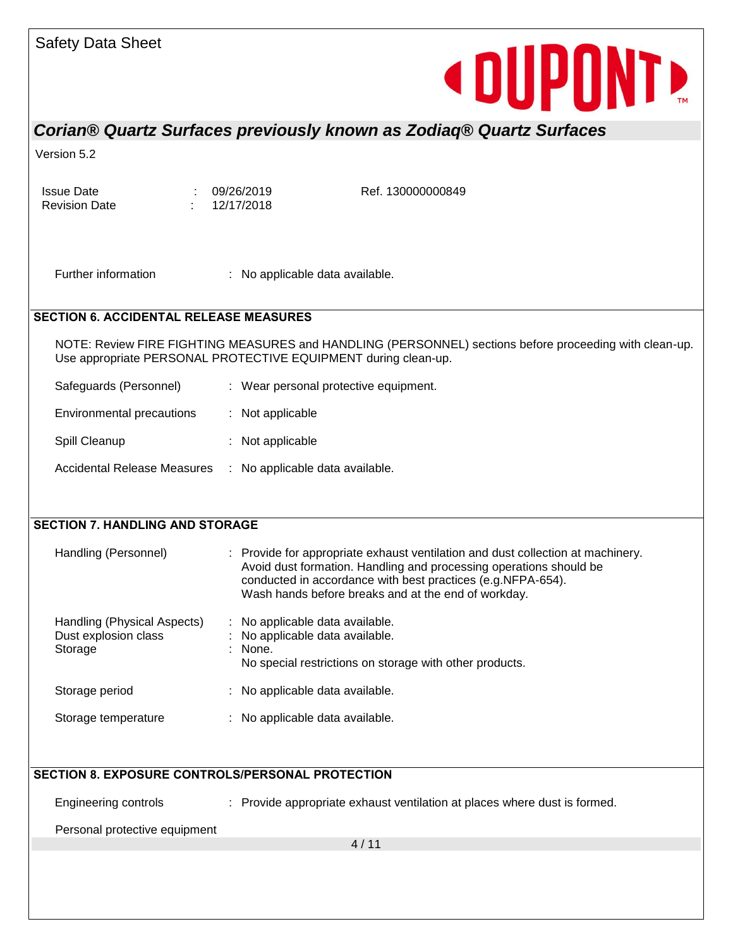

Version 5.2

Issue Date : 09/26/2019

Revision Date : 12/17/2018

Ref. 130000000849

Further information : No applicable data available.

### **SECTION 6. ACCIDENTAL RELEASE MEASURES**

NOTE: Review FIRE FIGHTING MEASURES and HANDLING (PERSONNEL) sections before proceeding with clean-up. Use appropriate PERSONAL PROTECTIVE EQUIPMENT during clean-up.

Environmental precautions : Not applicable

Spill Cleanup : Not applicable

Accidental Release Measures : No applicable data available.

| <b>SECTION 7. HANDLING AND STORAGE</b>                         |                                                                                                                                                                                                                                                                             |  |  |
|----------------------------------------------------------------|-----------------------------------------------------------------------------------------------------------------------------------------------------------------------------------------------------------------------------------------------------------------------------|--|--|
| Handling (Personnel)                                           | : Provide for appropriate exhaust ventilation and dust collection at machinery.<br>Avoid dust formation. Handling and processing operations should be<br>conducted in accordance with best practices (e.g.NFPA-654).<br>Wash hands before breaks and at the end of workday. |  |  |
| Handling (Physical Aspects)<br>Dust explosion class<br>Storage | : No applicable data available.<br>: No applicable data available.<br>$:$ None.<br>No special restrictions on storage with other products.                                                                                                                                  |  |  |
| Storage period                                                 | : No applicable data available.                                                                                                                                                                                                                                             |  |  |
| Storage temperature                                            | : No applicable data available.                                                                                                                                                                                                                                             |  |  |

#### **SECTION 8. EXPOSURE CONTROLS/PERSONAL PROTECTION**

Engineering controls : Provide appropriate exhaust ventilation at places where dust is formed.

Personal protective equipment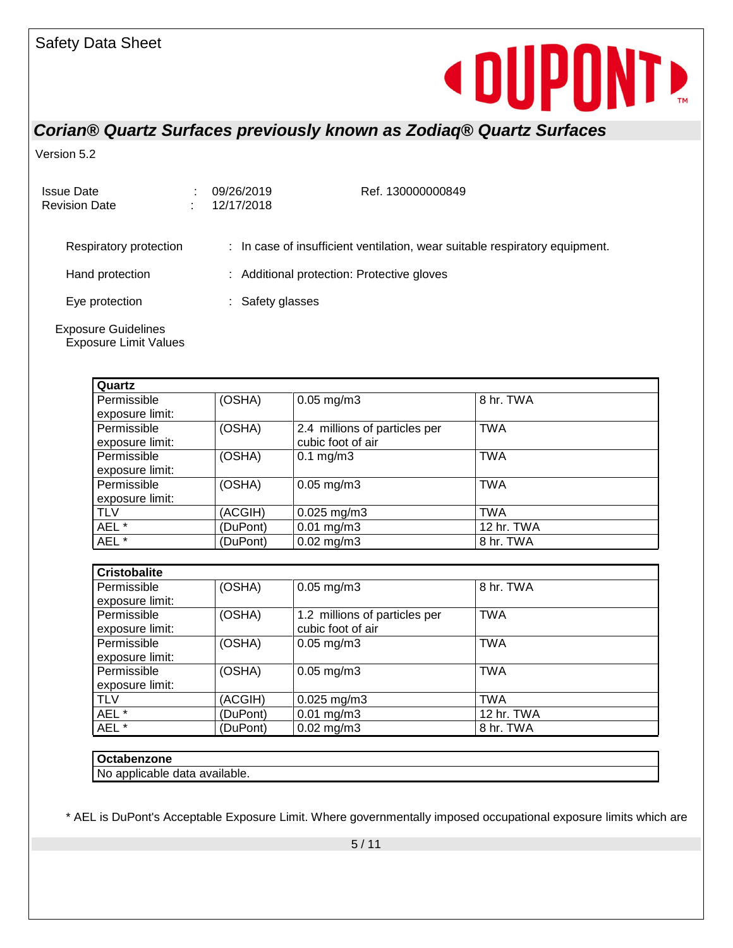## **«DUPONTE**

### *Corian® Quartz Surfaces previously known as Zodiaq® Quartz Surfaces*

Version 5.2

| Issue Date<br><b>Revision Date</b>                         | ÷<br>٠. | 09/26/2019<br>12/17/2018                   | Ref. 130000000849                                                           |
|------------------------------------------------------------|---------|--------------------------------------------|-----------------------------------------------------------------------------|
| Respiratory protection                                     |         |                                            | : In case of insufficient ventilation, wear suitable respiratory equipment. |
| Hand protection                                            |         | : Additional protection: Protective gloves |                                                                             |
| Eye protection                                             |         | : Safety glasses                           |                                                                             |
| <b>Exposure Guidelines</b><br><b>Exposure Limit Values</b> |         |                                            |                                                                             |

| Quartz          |          |                               |            |
|-----------------|----------|-------------------------------|------------|
| Permissible     | (OSHA)   | $0.05$ mg/m $3$               | 8 hr. TWA  |
| exposure limit: |          |                               |            |
| Permissible     | (OSHA)   | 2.4 millions of particles per | <b>TWA</b> |
| exposure limit: |          | cubic foot of air             |            |
| Permissible     | (OSHA)   | $0.1$ mg/m $3$                | <b>TWA</b> |
| exposure limit: |          |                               |            |
| Permissible     | (OSHA)   | $0.05$ mg/m $3$               | <b>TWA</b> |
| exposure limit: |          |                               |            |
| <b>TLV</b>      | (ACGIH)  | $0.025$ mg/m3                 | <b>TWA</b> |
| AEL *           | (DuPont) | $0.01$ mg/m $3$               | 12 hr. TWA |
| AEL *           | (DuPont) | $0.02$ mg/m3                  | 8 hr. TWA  |

| <b>Cristobalite</b> |          |                               |            |
|---------------------|----------|-------------------------------|------------|
| Permissible         | (OSHA)   | $0.05$ mg/m $3$               | 8 hr. TWA  |
| exposure limit:     |          |                               |            |
| Permissible         | (OSHA)   | 1.2 millions of particles per | <b>TWA</b> |
| exposure limit:     |          | cubic foot of air             |            |
| Permissible         | (OSHA)   | $0.05$ mg/m $3$               | <b>TWA</b> |
| exposure limit:     |          |                               |            |
| Permissible         | (OSHA)   | $0.05$ mg/m $3$               | <b>TWA</b> |
| exposure limit:     |          |                               |            |
| <b>TLV</b>          | (ACGIH)  | $0.025$ mg/m3                 | <b>TWA</b> |
| AEL *               | (DuPont) | $0.01 \,\mathrm{mg/m3}$       | 12 hr. TWA |
| AEL *               | (DuPont) | $0.02$ mg/m3                  | 8 hr. TWA  |

#### **Octabenzone**

No applicable data available.

\* AEL is DuPont's Acceptable Exposure Limit. Where governmentally imposed occupational exposure limits which are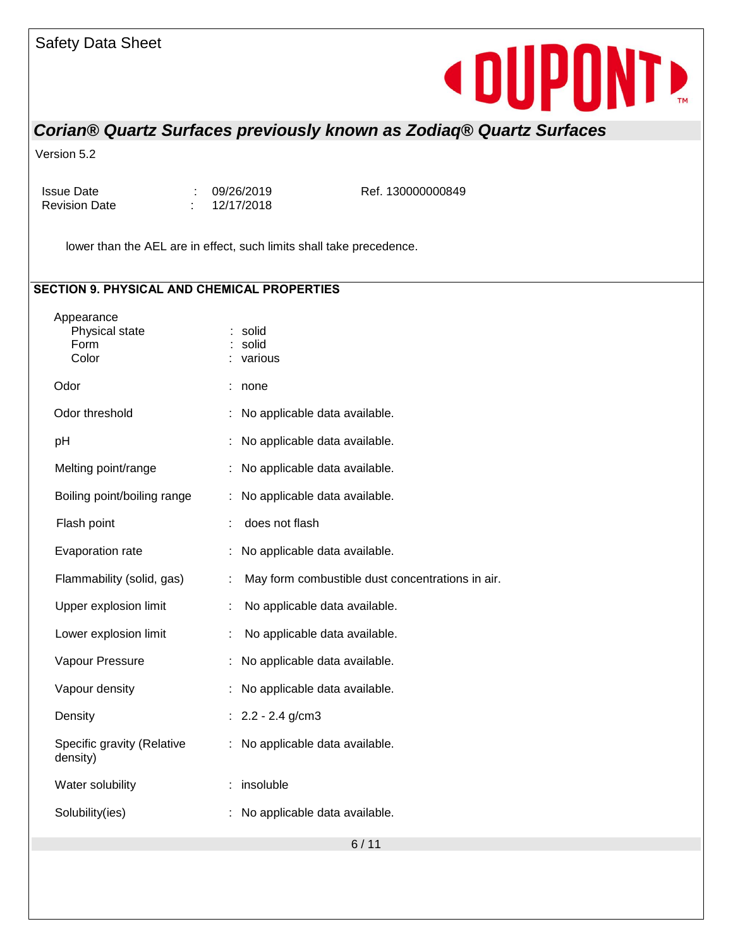## **«DUPONTE**

## *Corian® Quartz Surfaces previously known as Zodiaq® Quartz Surfaces*

Version 5.2

Issue Date : 09/26/2019 Revision Date : 12/17/2018

Ref. 130000000849

lower than the AEL are in effect, such limits shall take precedence.

### **SECTION 9. PHYSICAL AND CHEMICAL PROPERTIES**

| Appearance<br>Physical state<br>Form<br>Color | solid<br>$:$ solid<br>: various                  |
|-----------------------------------------------|--------------------------------------------------|
| Odor                                          | none                                             |
| Odor threshold                                | No applicable data available.                    |
| pH                                            | No applicable data available.                    |
| Melting point/range                           | No applicable data available.                    |
| Boiling point/boiling range                   | No applicable data available.                    |
| Flash point                                   | does not flash                                   |
| Evaporation rate                              | No applicable data available.                    |
| Flammability (solid, gas)                     | May form combustible dust concentrations in air. |
| Upper explosion limit                         | No applicable data available.                    |
| Lower explosion limit                         | No applicable data available.                    |
| Vapour Pressure                               | No applicable data available.                    |
| Vapour density                                | No applicable data available.                    |
| Density                                       | $2.2 - 2.4$ g/cm3                                |
| Specific gravity (Relative<br>density)        | No applicable data available.                    |
| Water solubility                              | insoluble                                        |
| Solubility(ies)                               | No applicable data available.                    |
|                                               |                                                  |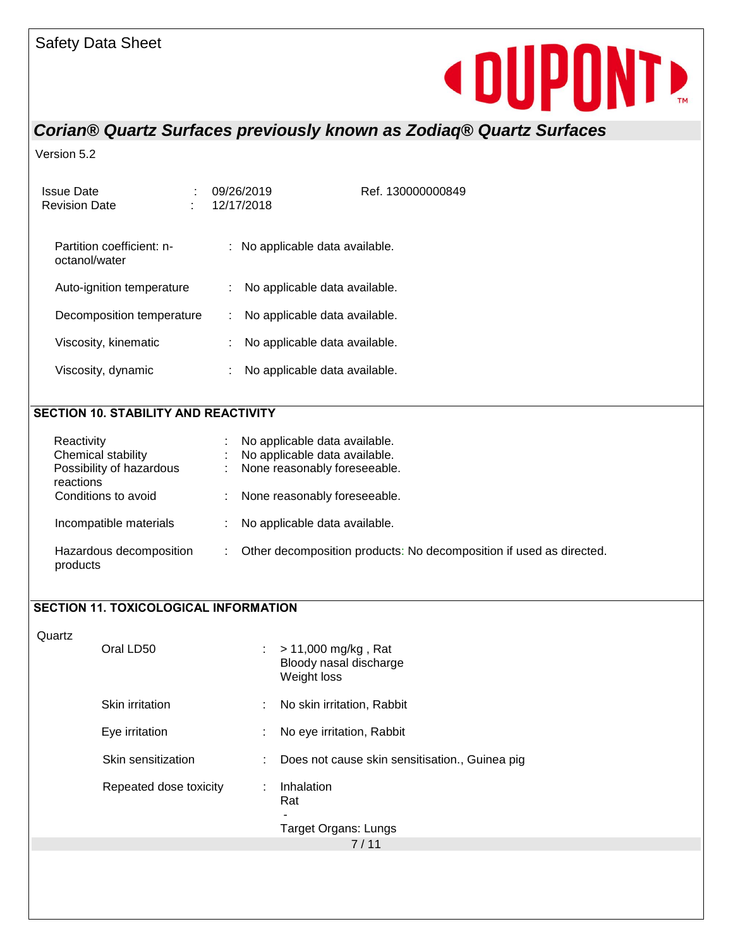# **« DUPONT R**

### *Corian® Quartz Surfaces previously known as Zodiaq® Quartz Surfaces*

Version 5.2

| Issue Date<br><b>Revision Date</b>         | 09/26/2019<br>12/17/2018             | Ref. 130000000849             |  |  |  |  |
|--------------------------------------------|--------------------------------------|-------------------------------|--|--|--|--|
| Partition coefficient: n-<br>octanol/water | : No applicable data available.      |                               |  |  |  |  |
| Auto-ignition temperature                  |                                      | No applicable data available. |  |  |  |  |
| Decomposition temperature                  |                                      | No applicable data available. |  |  |  |  |
| Viscosity, kinematic                       |                                      | No applicable data available. |  |  |  |  |
| Viscosity, dynamic                         |                                      | No applicable data available. |  |  |  |  |
|                                            |                                      |                               |  |  |  |  |
|                                            | SECTION 10. STABILITY AND REACTIVITY |                               |  |  |  |  |

#### Reactivity : No applicable data available. Chemical stability : No applicable data available. Possibility of hazardous reactions : None reasonably foreseeable. Conditions to avoid : None reasonably foreseeable. Incompatible materials : No applicable data available. Hazardous decomposition products : Other decomposition products: No decomposition if used as directed.

### **SECTION 11. TOXICOLOGICAL INFORMATION**

**Quartz** 

| Oral LD50              | t. | $>$ 11,000 mg/kg, Rat<br>Bloody nasal discharge<br>Weight loss |
|------------------------|----|----------------------------------------------------------------|
| Skin irritation        | ÷  | No skin irritation, Rabbit                                     |
| Eye irritation         |    | No eye irritation, Rabbit                                      |
| Skin sensitization     |    | Does not cause skin sensitisation., Guinea pig                 |
| Repeated dose toxicity |    | Inhalation<br>Rat<br>Target Organs: Lungs                      |
|                        |    | 7/11                                                           |
|                        |    |                                                                |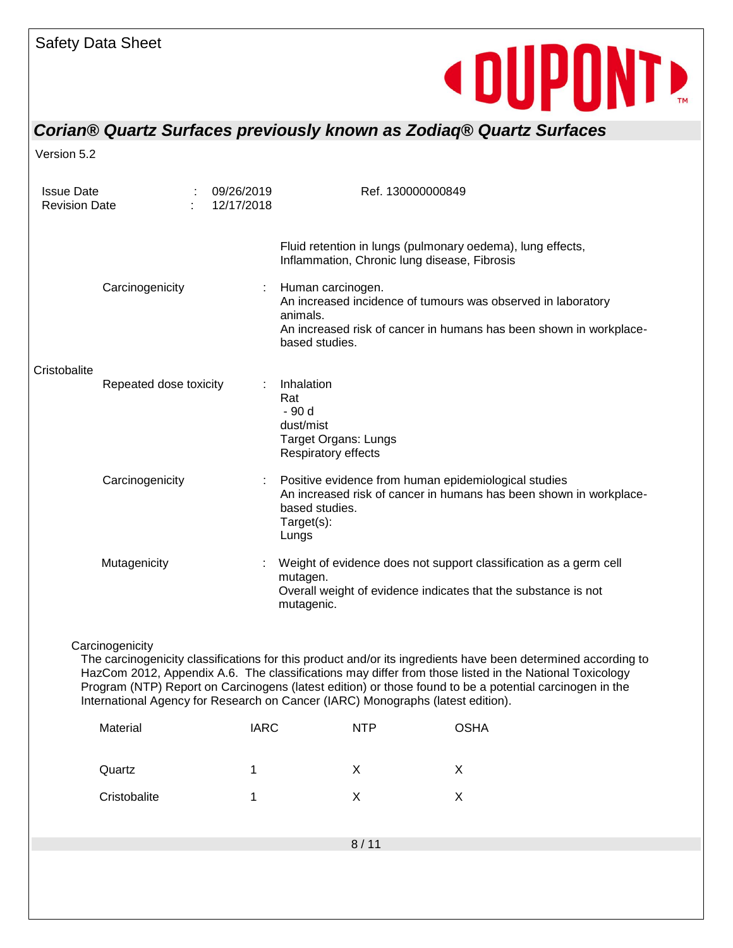# **«DUPONTE**

## *Corian® Quartz Surfaces previously known as Zodiaq® Quartz Surfaces*

Version 5.2

| <b>Issue Date</b><br><b>Revision Date</b>                                                                                                                                                                                                                                                                                                                                                                                                |                        |  | 09/26/2019<br>12/17/2018 |    |                                                                                                | Ref. 130000000849                            |                                                                                                                                                                                                  |  |
|------------------------------------------------------------------------------------------------------------------------------------------------------------------------------------------------------------------------------------------------------------------------------------------------------------------------------------------------------------------------------------------------------------------------------------------|------------------------|--|--------------------------|----|------------------------------------------------------------------------------------------------|----------------------------------------------|--------------------------------------------------------------------------------------------------------------------------------------------------------------------------------------------------|--|
|                                                                                                                                                                                                                                                                                                                                                                                                                                          | Carcinogenicity        |  |                          |    | Human carcinogen.<br>animals.<br>based studies.                                                | Inflammation, Chronic lung disease, Fibrosis | Fluid retention in lungs (pulmonary oedema), lung effects,<br>An increased incidence of tumours was observed in laboratory<br>An increased risk of cancer in humans has been shown in workplace- |  |
| Cristobalite                                                                                                                                                                                                                                                                                                                                                                                                                             | Repeated dose toxicity |  |                          |    | Inhalation<br>Rat<br>- 90 d<br>dust/mist<br><b>Target Organs: Lungs</b><br>Respiratory effects |                                              |                                                                                                                                                                                                  |  |
|                                                                                                                                                                                                                                                                                                                                                                                                                                          | Carcinogenicity        |  |                          | ÷. | based studies.<br>Target(s):<br>Lungs                                                          |                                              | Positive evidence from human epidemiological studies<br>An increased risk of cancer in humans has been shown in workplace-                                                                       |  |
|                                                                                                                                                                                                                                                                                                                                                                                                                                          | Mutagenicity           |  |                          |    | mutagen.<br>mutagenic.                                                                         |                                              | Weight of evidence does not support classification as a germ cell<br>Overall weight of evidence indicates that the substance is not                                                              |  |
| Carcinogenicity<br>The carcinogenicity classifications for this product and/or its ingredients have been determined according to<br>HazCom 2012, Appendix A.6. The classifications may differ from those listed in the National Toxicology<br>Program (NTP) Report on Carcinogens (latest edition) or those found to be a potential carcinogen in the<br>International Agency for Research on Cancer (IARC) Monographs (latest edition). |                        |  |                          |    |                                                                                                |                                              |                                                                                                                                                                                                  |  |
|                                                                                                                                                                                                                                                                                                                                                                                                                                          | Material               |  | <b>IARC</b>              |    |                                                                                                | <b>NTP</b>                                   | <b>OSHA</b>                                                                                                                                                                                      |  |
|                                                                                                                                                                                                                                                                                                                                                                                                                                          | Quartz                 |  | 1                        |    |                                                                                                | X                                            | X                                                                                                                                                                                                |  |
|                                                                                                                                                                                                                                                                                                                                                                                                                                          | Cristobalite           |  | 1                        |    |                                                                                                | X                                            | X                                                                                                                                                                                                |  |
|                                                                                                                                                                                                                                                                                                                                                                                                                                          |                        |  |                          |    |                                                                                                | 8/11                                         |                                                                                                                                                                                                  |  |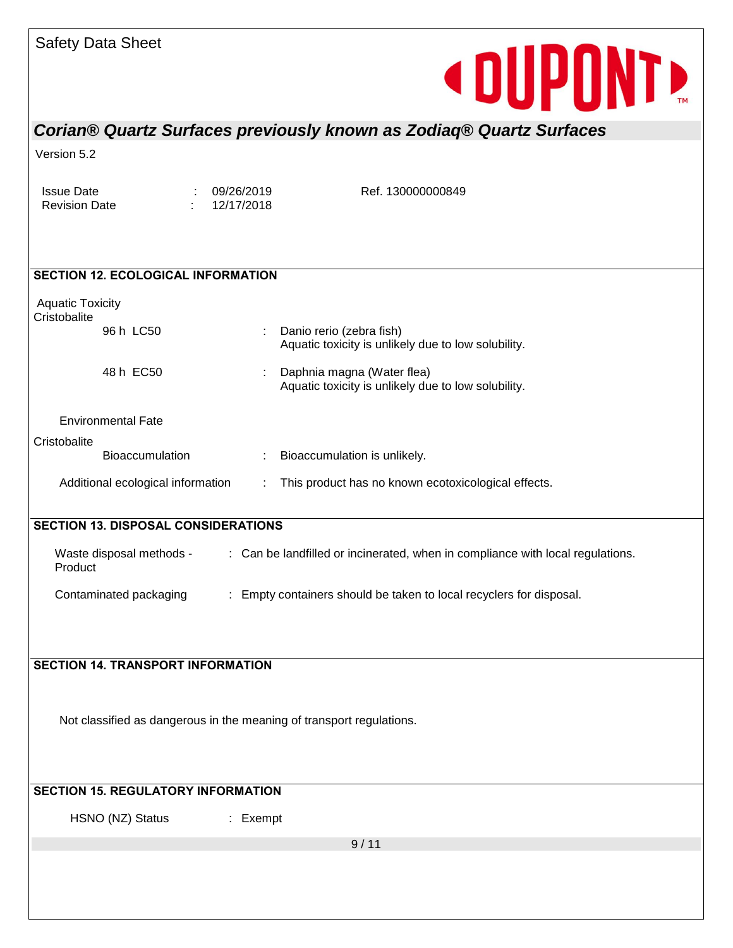| <b>Safety Data Sheet</b> |  |  |
|--------------------------|--|--|
|--------------------------|--|--|

## **« DUPONTE**

## *Corian® Quartz Surfaces previously known as Zodiaq® Quartz Surfaces*

Version 5.2

| <b>Issue Date</b><br><b>Revision Date</b>                                                     |                                            |  | 09/26/2019<br>12/17/2018 | Ref. 130000000849                                                                 |  |
|-----------------------------------------------------------------------------------------------|--------------------------------------------|--|--------------------------|-----------------------------------------------------------------------------------|--|
|                                                                                               | <b>SECTION 12. ECOLOGICAL INFORMATION</b>  |  |                          |                                                                                   |  |
| <b>Aquatic Toxicity</b><br>Cristobalite                                                       | 96 h LC50                                  |  |                          | Danio rerio (zebra fish)<br>Aquatic toxicity is unlikely due to low solubility.   |  |
|                                                                                               | 48 h EC50                                  |  |                          | Daphnia magna (Water flea)<br>Aquatic toxicity is unlikely due to low solubility. |  |
|                                                                                               | <b>Environmental Fate</b>                  |  |                          |                                                                                   |  |
| Cristobalite                                                                                  | <b>Bioaccumulation</b>                     |  |                          | Bioaccumulation is unlikely.                                                      |  |
|                                                                                               | Additional ecological information          |  |                          | This product has no known ecotoxicological effects.                               |  |
|                                                                                               | <b>SECTION 13. DISPOSAL CONSIDERATIONS</b> |  |                          |                                                                                   |  |
| Product                                                                                       | Waste disposal methods -                   |  |                          | : Can be landfilled or incinerated, when in compliance with local regulations.    |  |
| Contaminated packaging<br>: Empty containers should be taken to local recyclers for disposal. |                                            |  |                          |                                                                                   |  |
|                                                                                               |                                            |  |                          |                                                                                   |  |
|                                                                                               | <b>SECTION 14. TRANSPORT INFORMATION</b>   |  |                          |                                                                                   |  |
| Not classified as dangerous in the meaning of transport regulations.                          |                                            |  |                          |                                                                                   |  |
|                                                                                               | <b>SECTION 15. REGULATORY INFORMATION</b>  |  |                          |                                                                                   |  |
|                                                                                               | HSNO (NZ) Status                           |  | : Exempt                 |                                                                                   |  |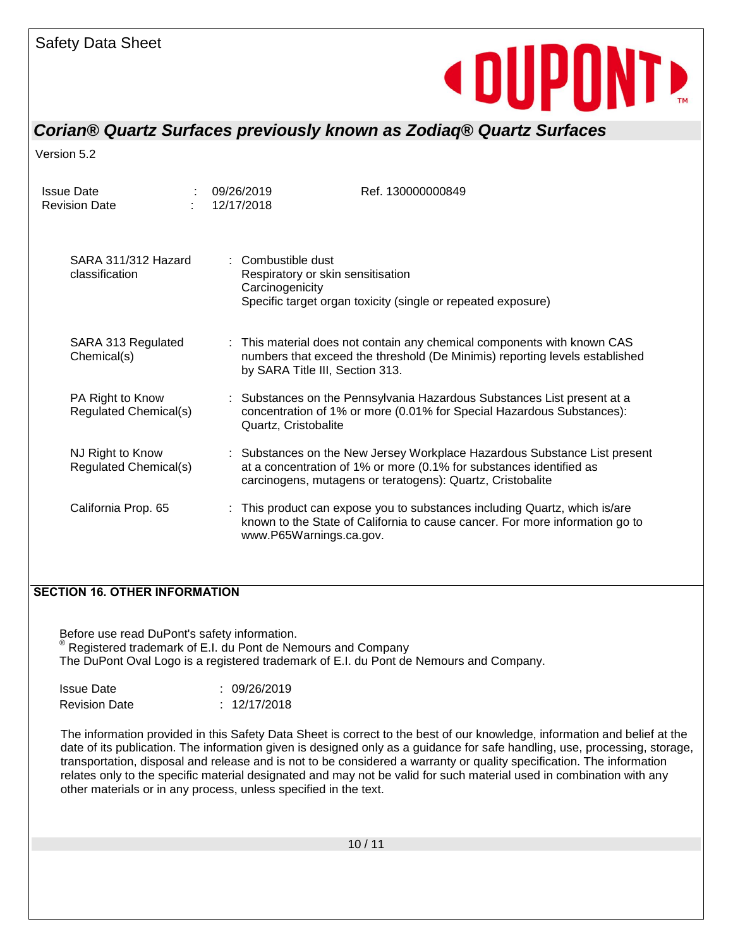

Version 5.2

| <b>Issue Date</b><br><b>Revision Date</b>        | ÷ | 09/26/2019<br>12/17/2018              | Ref. 130000000849                                                                                                                                                                                              |
|--------------------------------------------------|---|---------------------------------------|----------------------------------------------------------------------------------------------------------------------------------------------------------------------------------------------------------------|
| SARA 311/312 Hazard<br>classification            |   | : Combustible dust<br>Carcinogenicity | Respiratory or skin sensitisation<br>Specific target organ toxicity (single or repeated exposure)                                                                                                              |
| SARA 313 Regulated<br>Chemical(s)                |   | by SARA Title III, Section 313.       | : This material does not contain any chemical components with known CAS<br>numbers that exceed the threshold (De Minimis) reporting levels established                                                         |
| PA Right to Know<br><b>Regulated Chemical(s)</b> |   | Quartz, Cristobalite                  | : Substances on the Pennsylvania Hazardous Substances List present at a<br>concentration of 1% or more (0.01% for Special Hazardous Substances):                                                               |
| NJ Right to Know<br>Regulated Chemical(s)        |   |                                       | : Substances on the New Jersey Workplace Hazardous Substance List present<br>at a concentration of 1% or more (0.1% for substances identified as<br>carcinogens, mutagens or teratogens): Quartz, Cristobalite |
| California Prop. 65                              |   | www.P65Warnings.ca.gov.               | : This product can expose you to substances including Quartz, which is/are<br>known to the State of California to cause cancer. For more information go to                                                     |

#### **SECTION 16. OTHER INFORMATION**

Before use read DuPont's safety information. ® Registered trademark of E.I. du Pont de Nemours and Company The DuPont Oval Logo is a registered trademark of E.I. du Pont de Nemours and Company.

| <b>Issue Date</b>    | : 09/26/2019 |
|----------------------|--------------|
| <b>Revision Date</b> | : 12/17/2018 |

The information provided in this Safety Data Sheet is correct to the best of our knowledge, information and belief at the date of its publication. The information given is designed only as a guidance for safe handling, use, processing, storage, transportation, disposal and release and is not to be considered a warranty or quality specification. The information relates only to the specific material designated and may not be valid for such material used in combination with any other materials or in any process, unless specified in the text.